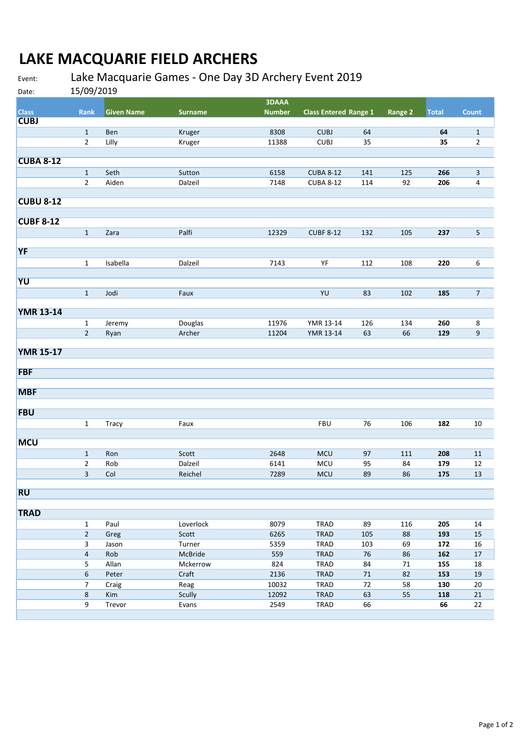## **LAKE MACQUARIE FIELD ARCHERS**

## Event: Lake Macquarie Games ‐ One Day 3D Archery Event 2019

Date: 15/09/2019

| Dalc.            | 1979 IUL       |                   |                |               |                              |        |         |              |                  |
|------------------|----------------|-------------------|----------------|---------------|------------------------------|--------|---------|--------------|------------------|
|                  |                |                   |                | <b>3DAAA</b>  |                              |        |         |              |                  |
| <b>Class</b>     | Rank           | <b>Given Name</b> | <b>Surname</b> | <b>Number</b> | <b>Class Entered Range 1</b> |        | Range 2 | <b>Total</b> | <b>Count</b>     |
| <b>CUBJ</b>      |                |                   |                |               |                              |        |         |              |                  |
|                  | $\mathbf{1}$   | Ben               | Kruger         | 8308          | <b>CUBJ</b>                  | 64     |         | 64           | $\mathbf{1}$     |
|                  | $\mathbf 2$    | Lilly             | Kruger         | 11388         | <b>CUBJ</b>                  | 35     |         | 35           | $\overline{2}$   |
|                  |                |                   |                |               |                              |        |         |              |                  |
| <b>CUBA 8-12</b> |                |                   |                |               |                              |        |         |              |                  |
|                  | $\mathbf 1$    | Seth              | Sutton         | 6158          | <b>CUBA 8-12</b>             | 141    | 125     | 266          | $\mathbf{3}$     |
|                  | $\overline{2}$ | Aiden             | Dalzeil        | 7148          | <b>CUBA 8-12</b>             | 114    | 92      | 206          | 4                |
|                  |                |                   |                |               |                              |        |         |              |                  |
| <b>CUBU 8-12</b> |                |                   |                |               |                              |        |         |              |                  |
|                  |                |                   |                |               |                              |        |         |              |                  |
| <b>CUBF 8-12</b> |                |                   |                |               |                              |        |         |              |                  |
|                  | $\mathbf{1}$   | Zara              | Palfi          | 12329         | <b>CUBF 8-12</b>             | 132    | 105     | 237          | 5                |
|                  |                |                   |                |               |                              |        |         |              |                  |
| <b>YF</b>        |                |                   |                |               |                              |        |         |              |                  |
|                  | $\mathbf 1$    | Isabella          | Dalzeil        | 7143          | YF                           | 112    | 108     | 220          | 6                |
|                  |                |                   |                |               |                              |        |         |              |                  |
| YU               |                |                   |                |               |                              |        |         |              |                  |
|                  | $\mathbf{1}$   | Jodi              | Faux           |               | YU                           | 83     | 102     | 185          | $\overline{7}$   |
|                  |                |                   |                |               |                              |        |         |              |                  |
| <b>YMR 13-14</b> |                |                   |                |               |                              |        |         |              |                  |
|                  | $\mathbf{1}$   | Jeremy            | Douglas        | 11976         | YMR 13-14                    | 126    | 134     | 260          | 8                |
|                  | $\overline{2}$ | Ryan              | Archer         | 11204         | YMR 13-14                    | 63     | 66      | 129          | $\boldsymbol{9}$ |
|                  |                |                   |                |               |                              |        |         |              |                  |
| <b>YMR 15-17</b> |                |                   |                |               |                              |        |         |              |                  |
|                  |                |                   |                |               |                              |        |         |              |                  |
| <b>FBF</b>       |                |                   |                |               |                              |        |         |              |                  |
|                  |                |                   |                |               |                              |        |         |              |                  |
| <b>MBF</b>       |                |                   |                |               |                              |        |         |              |                  |
|                  |                |                   |                |               |                              |        |         |              |                  |
| <b>FBU</b>       |                |                   |                |               |                              |        |         |              |                  |
|                  |                |                   |                |               | <b>FBU</b>                   |        |         |              |                  |
|                  | $\mathbf{1}$   | <b>Tracy</b>      | Faux           |               |                              | 76     | 106     | 182          | 10               |
| <b>MCU</b>       |                |                   |                |               |                              |        |         |              |                  |
|                  |                |                   |                |               |                              |        |         |              |                  |
|                  | $\mathbf{1}$   | Ron               | Scott          | 2648          | MCU                          | 97     | 111     | 208          | 11               |
|                  | $\overline{2}$ | Rob               | Dalzeil        | 6141          | MCU                          | 95     | 84      | 179          | 12               |
|                  | 3              | Col               | Reichel        | 7289          | MCU                          | 89     | 86      | 175          | $13\,$           |
| <b>RU</b>        |                |                   |                |               |                              |        |         |              |                  |
|                  |                |                   |                |               |                              |        |         |              |                  |
| <b>TRAD</b>      |                |                   |                |               |                              |        |         |              |                  |
|                  |                |                   |                |               |                              |        |         |              |                  |
|                  | $\mathbf{1}$   | Paul              | Loverlock      | 8079          | <b>TRAD</b>                  | 89     | 116     | 205          | 14               |
|                  | $\overline{a}$ | Greg              | Scott          | 6265          | <b>TRAD</b>                  | 105    | 88      | 193          | 15               |
|                  | 3              | Jason             | Turner         | 5359          | <b>TRAD</b>                  | 103    | 69      | 172          | 16               |
|                  | 4              | Rob               | McBride        | 559           | <b>TRAD</b>                  | $76\,$ | 86      | 162          | 17               |
|                  | 5              | Allan             | Mckerrow       | 824           | <b>TRAD</b>                  | 84     | 71      | 155          | 18               |
|                  | 6              | Peter             | Craft          | 2136          | <b>TRAD</b>                  | $71\,$ | 82      | 153          | 19               |
|                  | 7              | Craig             | Reag           | 10032         | <b>TRAD</b>                  | $72\,$ | 58      | 130          | $20\,$           |
|                  | 8              | Kim               | Scully         | 12092         | <b>TRAD</b>                  | 63     | 55      | 118          | $21\,$           |
|                  | 9              | Trevor            | Evans          | 2549          | <b>TRAD</b>                  | 66     |         | 66           | 22               |
|                  |                |                   |                |               |                              |        |         |              |                  |